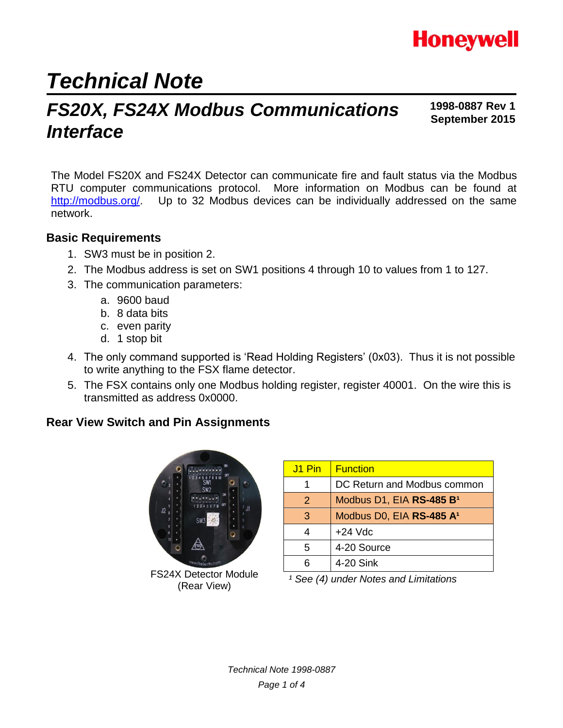

# *Technical Note*

## **Interface FS20X, FS24X Modbus Communications 1998-0887 Rev 1**<br>September 2015

**1998-0887 Rev 1**

The Model FS20X and FS24X Detector can communicate fire and fault status via the Modbus RTU computer communications protocol. More information on Modbus can be found at [http://modbus.org/.](http://modbus.org/) Up to 32 Modbus devices can be individually addressed on the same network.

### **Basic Requirements**

- 1. SW3 must be in position 2.
- 2. The Modbus address is set on SW1 positions 4 through 10 to values from 1 to 127.
- 3. The communication parameters:
	- a. 9600 baud
	- b. 8 data bits
	- c. even parity
	- d. 1 stop bit
- 4. The only command supported is 'Read Holding Registers' (0x03). Thus it is not possible to write anything to the FSX flame detector.
- 5. The FSX contains only one Modbus holding register, register 40001. On the wire this is transmitted as address 0x0000.

### **Rear View Switch and Pin Assignments**



FS24X Detector Module (Rear View)

| J1 Pin        | <b>Function</b>                      |
|---------------|--------------------------------------|
|               | DC Return and Modbus common          |
| $\mathcal{P}$ | Modbus D1, EIA RS-485 B <sup>1</sup> |
| 3             | Modbus D0, EIA RS-485 A <sup>1</sup> |
|               | $+24$ Vdc                            |
| 5             | 4-20 Source                          |
|               | 4-20 Sink                            |

*¹ See (4) under Notes and Limitations*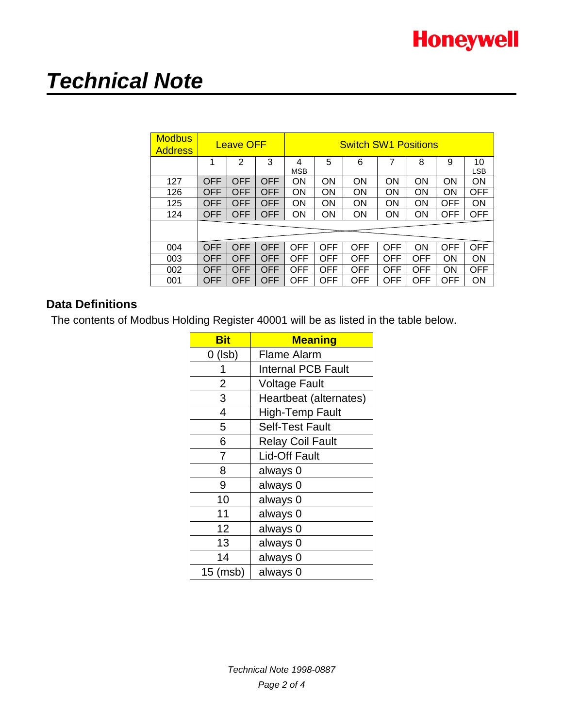# *Technical Note*

| <b>Modbus</b><br><b>Address</b> | <b>Leave OFF</b> |                |            | <b>Switch SW1 Positions</b> |            |            |     |            |            |                  |
|---------------------------------|------------------|----------------|------------|-----------------------------|------------|------------|-----|------------|------------|------------------|
|                                 | 1                | $\overline{2}$ | 3          | 4<br><b>MSB</b>             | 5          | 6          | 7   | 8          | 9          | 10<br><b>LSB</b> |
| 127                             | OFF              | OFF            | OFF        | ON                          | ON         | <b>ON</b>  | ΟN  | ON         | ΟN         | ON               |
| 126                             | OFF              | OFF            | <b>OFF</b> | 0N                          | ON         | ON         | ON  | ON         | ΟN         | <b>OFF</b>       |
| 125                             | OFF              | OFF            | OFF        | ON                          | ON         | ON         | ON  | <b>ON</b>  | OFF        | ON               |
| 124                             | <b>OFF</b>       | OFF            | <b>OFF</b> | ON                          | ΟN         | ON         | ON  | ON         | <b>OFF</b> | <b>OFF</b>       |
|                                 |                  |                |            |                             |            |            |     |            |            |                  |
| 004                             | OFF              | OFF            | OFF        | OFF                         | OFF        | OFF        | OFF | <b>ON</b>  | OFF        | <b>OFF</b>       |
| 003                             | OFF              | OFF            | OFF        | <b>OFF</b>                  | <b>OFF</b> | <b>OFF</b> | OFF | <b>OFF</b> | OΝ         | ON               |
| 002                             | OFF              | OFF            | OFF        | <b>OFF</b>                  | OFF        | OFF        | OFF | OFF        | ΟN         | OFF              |
| 001                             | OFF              | OFF            | OFF        | <b>OFF</b>                  | OFF        | OFF        | OFF | OFF        | OFF        | ON               |

## **Data Definitions**

The contents of Modbus Holding Register 40001 will be as listed in the table below.

| <b>Bit</b> | <b>Meaning</b>            |  |  |  |  |  |
|------------|---------------------------|--|--|--|--|--|
| $0$ (lsb)  | <b>Flame Alarm</b>        |  |  |  |  |  |
| 1          | <b>Internal PCB Fault</b> |  |  |  |  |  |
| 2          | <b>Voltage Fault</b>      |  |  |  |  |  |
| 3          | Heartbeat (alternates)    |  |  |  |  |  |
| 4          | <b>High-Temp Fault</b>    |  |  |  |  |  |
| 5          | <b>Self-Test Fault</b>    |  |  |  |  |  |
| 6          | <b>Relay Coil Fault</b>   |  |  |  |  |  |
| 7          | <b>Lid-Off Fault</b>      |  |  |  |  |  |
| 8          | always 0                  |  |  |  |  |  |
| 9          | always 0                  |  |  |  |  |  |
| 10         | always 0                  |  |  |  |  |  |
| 11         | always 0                  |  |  |  |  |  |
| 12         | always 0                  |  |  |  |  |  |
| 13         | always 0                  |  |  |  |  |  |
| 14         | always 0                  |  |  |  |  |  |
| 15 (msb)   | always 0                  |  |  |  |  |  |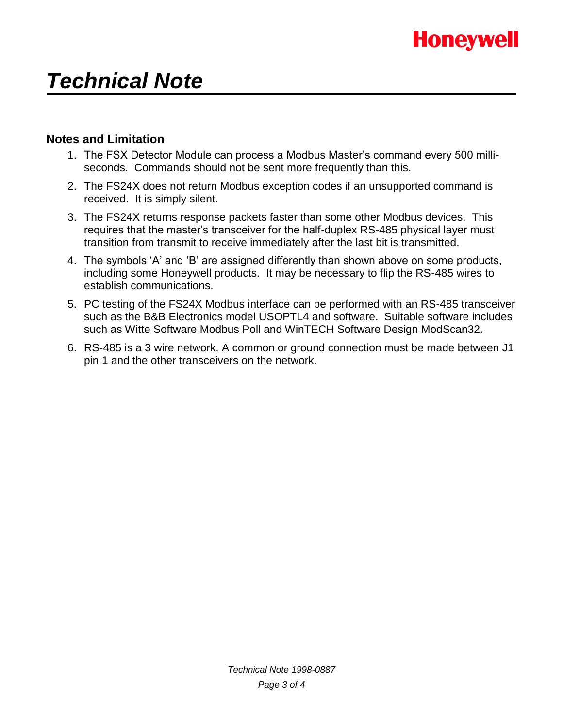# *Technical Note*

### **Notes and Limitation**

- 1. The FSX Detector Module can process a Modbus Master's command every 500 milliseconds. Commands should not be sent more frequently than this.
- 2. The FS24X does not return Modbus exception codes if an unsupported command is received. It is simply silent.
- 3. The FS24X returns response packets faster than some other Modbus devices. This requires that the master's transceiver for the half-duplex RS-485 physical layer must transition from transmit to receive immediately after the last bit is transmitted.
- 4. The symbols 'A' and 'B' are assigned differently than shown above on some products, including some Honeywell products. It may be necessary to flip the RS-485 wires to establish communications.
- 5. PC testing of the FS24X Modbus interface can be performed with an RS-485 transceiver such as the B&B Electronics model USOPTL4 and software. Suitable software includes such as Witte Software Modbus Poll and WinTECH Software Design ModScan32.
- 6. RS-485 is a 3 wire network. A common or ground connection must be made between J1 pin 1 and the other transceivers on the network.